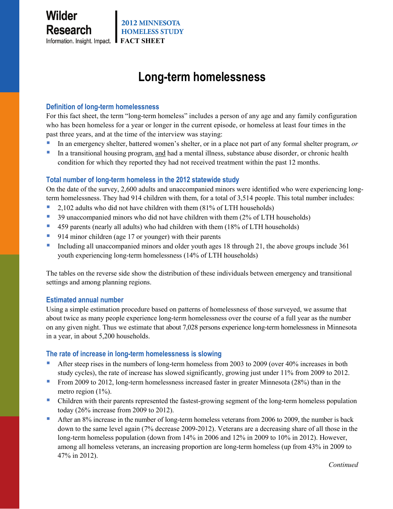# **Long-term homelessness**

## **Definition of long-term homelessness**

For this fact sheet, the term "long-term homeless" includes a person of any age and any family configuration who has been homeless for a year or longer in the current episode, or homeless at least four times in the past three years, and at the time of the interview was staying:

- In an emergency shelter, battered women's shelter, or in a place not part of any formal shelter program, *or*
- In a transitional housing program, and had a mental illness, substance abuse disorder, or chronic health condition for which they reported they had not received treatment within the past 12 months.

# **Total number of long-term homeless in the 2012 statewide study**

On the date of the survey, 2,600 adults and unaccompanied minors were identified who were experiencing longterm homelessness. They had 914 children with them, for a total of 3,514 people. This total number includes:

- 2,102 adults who did not have children with them (81% of LTH households)
- <sup>3</sup> 39 unaccompanied minors who did not have children with them (2% of LTH households)
- 459 parents (nearly all adults) who had children with them (18% of LTH households)
- 914 minor children (age 17 or younger) with their parents
- Including all unaccompanied minors and older youth ages 18 through 21, the above groups include 361 youth experiencing long-term homelessness (14% of LTH households)

The tables on the reverse side show the distribution of these individuals between emergency and transitional settings and among planning regions.

### **Estimated annual number**

Using a simple estimation procedure based on patterns of homelessness of those surveyed, we assume that about twice as many people experience long-term homelessness over the course of a full year as the number on any given night. Thus we estimate that about 7,028 persons experience long-term homelessness in Minnesota in a year, in about 5,200 households.

### **The rate of increase in long-term homelessness is slowing**

- After steep rises in the numbers of long-term homeless from 2003 to 2009 (over 40% increases in both study cycles), the rate of increase has slowed significantly, growing just under 11% from 2009 to 2012.
- From 2009 to 2012, long-term homelessness increased faster in greater Minnesota (28%) than in the metro region (1%).
- Children with their parents represented the fastest-growing segment of the long-term homeless population today (26% increase from 2009 to 2012).
- After an 8% increase in the number of long-term homeless veterans from 2006 to 2009, the number is back down to the same level again (7% decrease 2009-2012). Veterans are a decreasing share of all those in the long-term homeless population (down from 14% in 2006 and 12% in 2009 to 10% in 2012). However, among all homeless veterans, an increasing proportion are long-term homeless (up from 43% in 2009 to 47% in 2012).

*Continued*